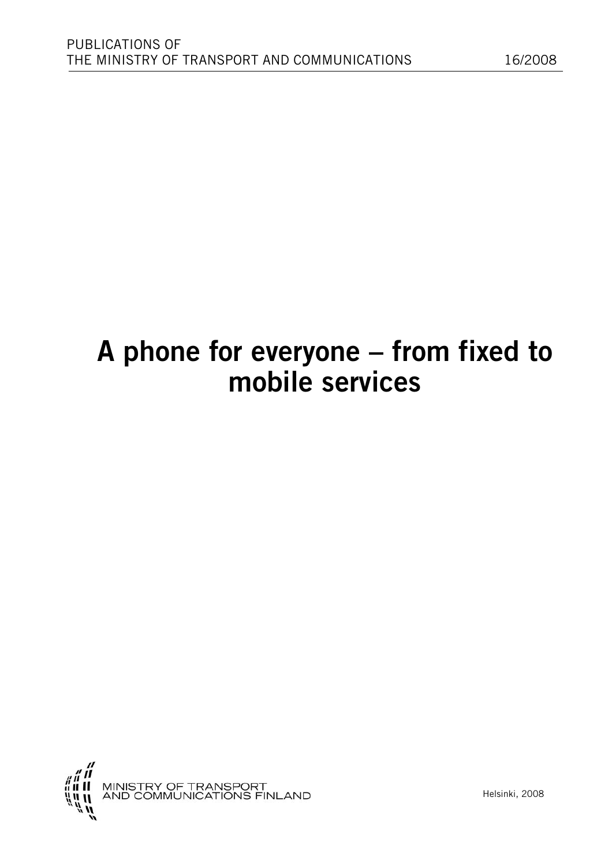# **A phone for everyone – from fixed to mobile services**

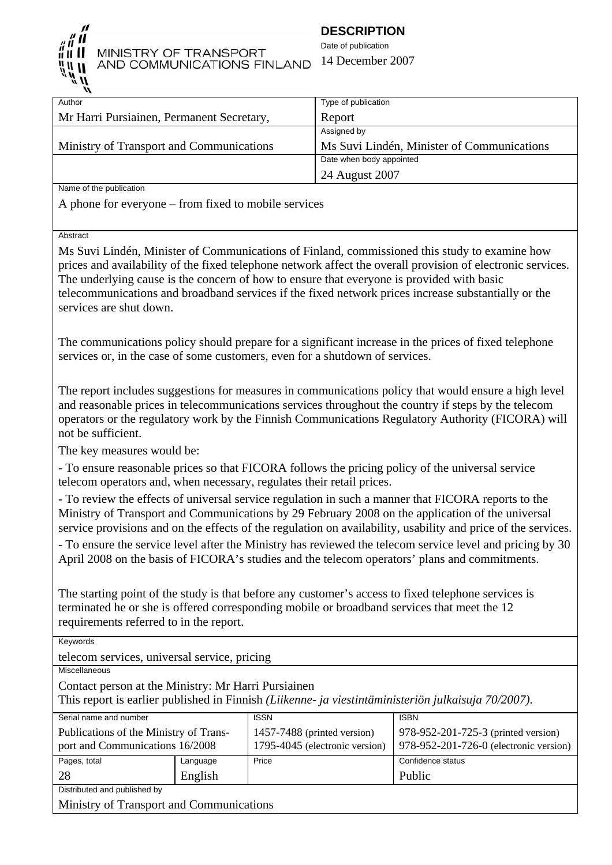

# MINISTRY OF TRANSPORT AND COMMUNICATIONS FINLAND

# **DESCRIPTION**

Date of publication 14 December 2007

| Author                                    | Type of publication                        |
|-------------------------------------------|--------------------------------------------|
| Mr Harri Pursiainen, Permanent Secretary, | Report                                     |
|                                           | Assigned by                                |
| Ministry of Transport and Communications  | Ms Suvi Lindén, Minister of Communications |
|                                           | Date when body appointed                   |
|                                           | 24 August 2007                             |
|                                           |                                            |

Name of the publication

A phone for everyone – from fixed to mobile services

**Abstract** 

Ms Suvi Lindén, Minister of Communications of Finland, commissioned this study to examine how prices and availability of the fixed telephone network affect the overall provision of electronic services. The underlying cause is the concern of how to ensure that everyone is provided with basic telecommunications and broadband services if the fixed network prices increase substantially or the services are shut down.

The communications policy should prepare for a significant increase in the prices of fixed telephone services or, in the case of some customers, even for a shutdown of services.

The report includes suggestions for measures in communications policy that would ensure a high level and reasonable prices in telecommunications services throughout the country if steps by the telecom operators or the regulatory work by the Finnish Communications Regulatory Authority (FICORA) will not be sufficient.

The key measures would be:

- To ensure reasonable prices so that FICORA follows the pricing policy of the universal service telecom operators and, when necessary, regulates their retail prices.

- To review the effects of universal service regulation in such a manner that FICORA reports to the Ministry of Transport and Communications by 29 February 2008 on the application of the universal service provisions and on the effects of the regulation on availability, usability and price of the services.

- To ensure the service level after the Ministry has reviewed the telecom service level and pricing by 30 April 2008 on the basis of FICORA's studies and the telecom operators' plans and commitments.

The starting point of the study is that before any customer's access to fixed telephone services is terminated he or she is offered corresponding mobile or broadband services that meet the 12 requirements referred to in the report.

Keywords

telecom services, universal service, pricing

Miscellaneous

Contact person at the Ministry: Mr Harri Pursiainen

This report is earlier published in Finnish *(Liikenne- ja viestintäministeriön julkaisuja 70/2007)*.

| Serial name and number                   |          | <b>ISSN</b>                    | <b>ISBN</b>                            |
|------------------------------------------|----------|--------------------------------|----------------------------------------|
| Publications of the Ministry of Trans-   |          | 1457-7488 (printed version)    | 978-952-201-725-3 (printed version)    |
| port and Communications 16/2008          |          | 1795-4045 (electronic version) | 978-952-201-726-0 (electronic version) |
| Pages, total                             | Language | Price                          | Confidence status                      |
| 28                                       | English  |                                | Public                                 |
| Distributed and published by             |          |                                |                                        |
| Ministry of Trensport and Communications |          |                                |                                        |

Ministry of Transport and Communications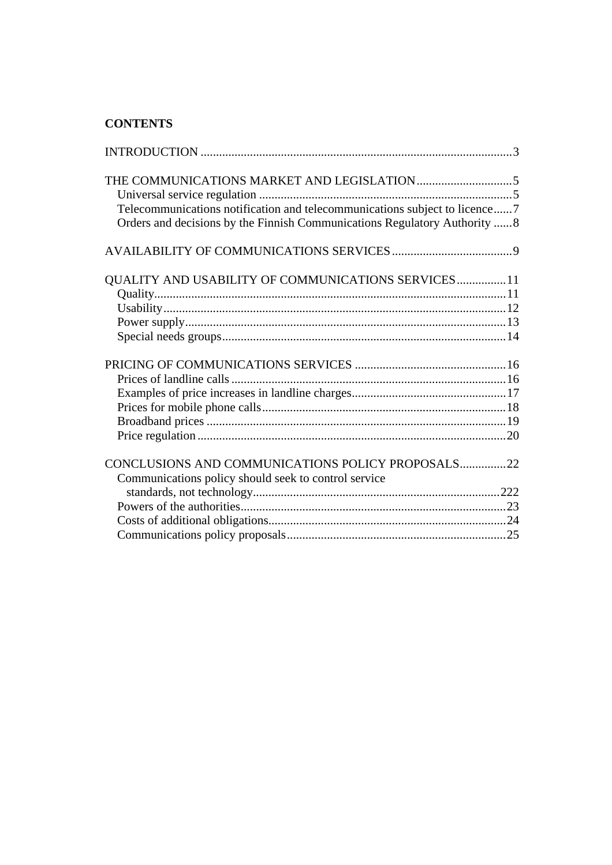# **CONTENTS**

| Telecommunications notification and telecommunications subject to licence7<br>Orders and decisions by the Finnish Communications Regulatory Authority 8 |
|---------------------------------------------------------------------------------------------------------------------------------------------------------|
|                                                                                                                                                         |
| QUALITY AND USABILITY OF COMMUNICATIONS SERVICES 11                                                                                                     |
|                                                                                                                                                         |
|                                                                                                                                                         |
| CONCLUSIONS AND COMMUNICATIONS POLICY PROPOSALS22<br>Communications policy should seek to control service                                               |
|                                                                                                                                                         |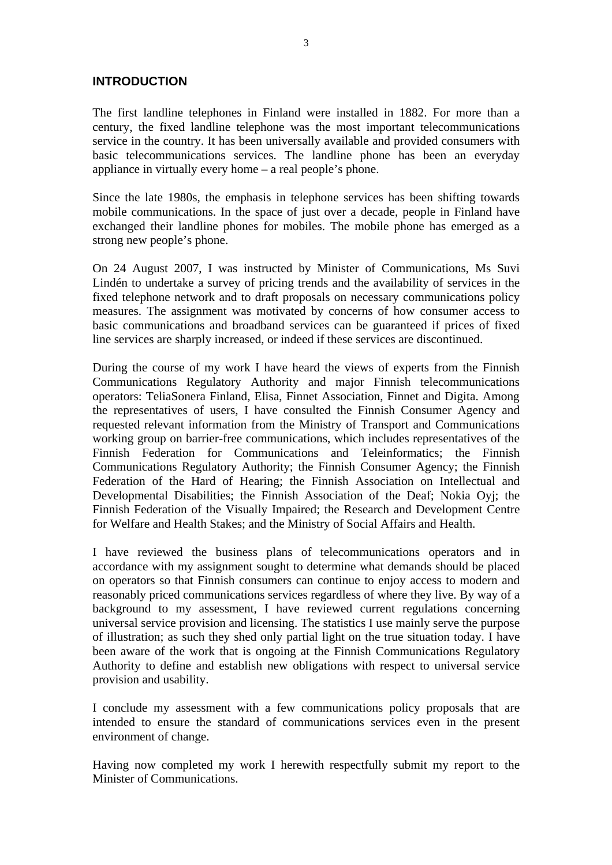### **INTRODUCTION**

The first landline telephones in Finland were installed in 1882. For more than a century, the fixed landline telephone was the most important telecommunications service in the country. It has been universally available and provided consumers with basic telecommunications services. The landline phone has been an everyday appliance in virtually every home – a real people's phone.

Since the late 1980s, the emphasis in telephone services has been shifting towards mobile communications. In the space of just over a decade, people in Finland have exchanged their landline phones for mobiles. The mobile phone has emerged as a strong new people's phone.

On 24 August 2007, I was instructed by Minister of Communications, Ms Suvi Lindén to undertake a survey of pricing trends and the availability of services in the fixed telephone network and to draft proposals on necessary communications policy measures. The assignment was motivated by concerns of how consumer access to basic communications and broadband services can be guaranteed if prices of fixed line services are sharply increased, or indeed if these services are discontinued.

During the course of my work I have heard the views of experts from the Finnish Communications Regulatory Authority and major Finnish telecommunications operators: TeliaSonera Finland, Elisa, Finnet Association, Finnet and Digita. Among the representatives of users, I have consulted the Finnish Consumer Agency and requested relevant information from the Ministry of Transport and Communications working group on barrier-free communications, which includes representatives of the Finnish Federation for Communications and Teleinformatics; the Finnish Communications Regulatory Authority; the Finnish Consumer Agency; the Finnish Federation of the Hard of Hearing; the Finnish Association on Intellectual and Developmental Disabilities; the Finnish Association of the Deaf; Nokia Oyj; the Finnish Federation of the Visually Impaired; the Research and Development Centre for Welfare and Health Stakes; and the Ministry of Social Affairs and Health.

I have reviewed the business plans of telecommunications operators and in accordance with my assignment sought to determine what demands should be placed on operators so that Finnish consumers can continue to enjoy access to modern and reasonably priced communications services regardless of where they live. By way of a background to my assessment, I have reviewed current regulations concerning universal service provision and licensing. The statistics I use mainly serve the purpose of illustration; as such they shed only partial light on the true situation today. I have been aware of the work that is ongoing at the Finnish Communications Regulatory Authority to define and establish new obligations with respect to universal service provision and usability.

I conclude my assessment with a few communications policy proposals that are intended to ensure the standard of communications services even in the present environment of change.

Having now completed my work I herewith respectfully submit my report to the Minister of Communications.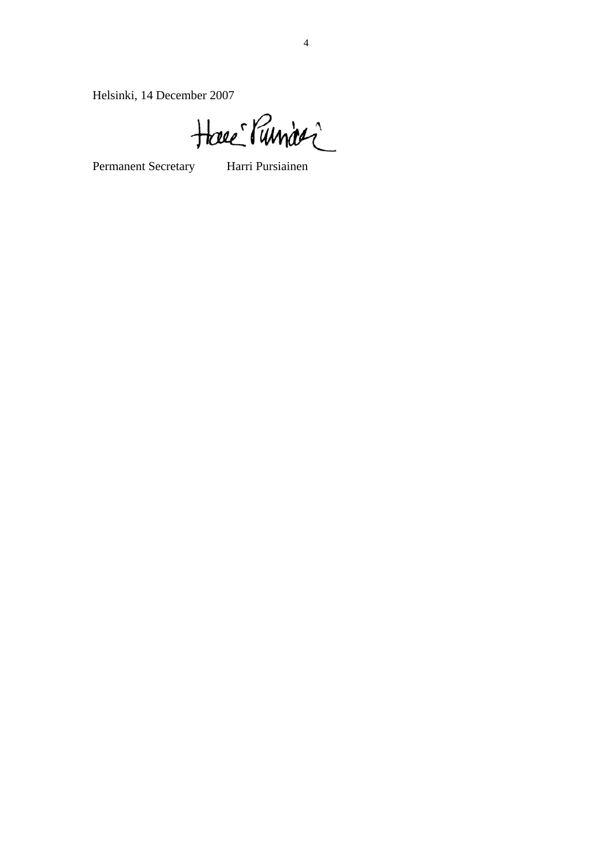Helsinki, 14 December 2007

Have Runder

Permanent Secretary Harri Pursiainen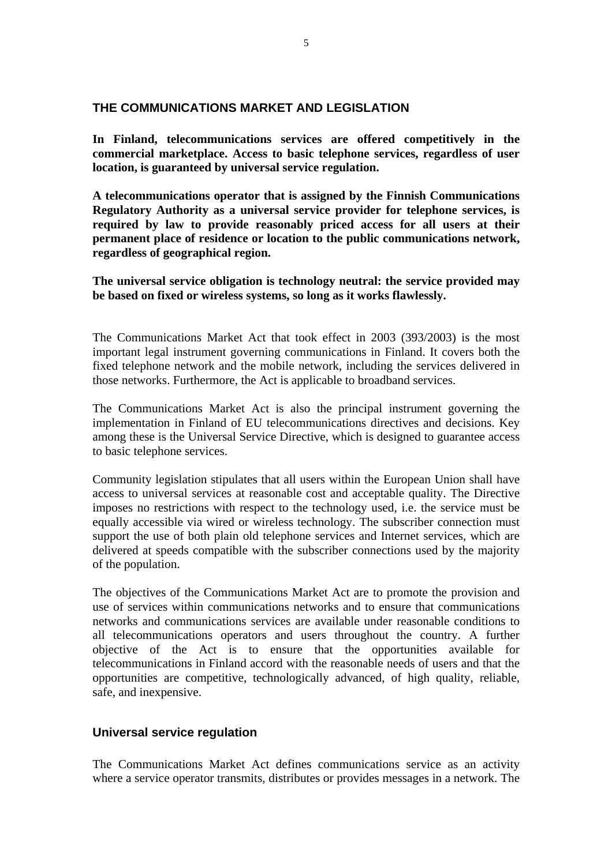#### **THE COMMUNICATIONS MARKET AND LEGISLATION**

**In Finland, telecommunications services are offered competitively in the commercial marketplace. Access to basic telephone services, regardless of user location, is guaranteed by universal service regulation.** 

**A telecommunications operator that is assigned by the Finnish Communications Regulatory Authority as a universal service provider for telephone services, is required by law to provide reasonably priced access for all users at their permanent place of residence or location to the public communications network, regardless of geographical region.** 

**The universal service obligation is technology neutral: the service provided may be based on fixed or wireless systems, so long as it works flawlessly.** 

The Communications Market Act that took effect in 2003 (393/2003) is the most important legal instrument governing communications in Finland. It covers both the fixed telephone network and the mobile network, including the services delivered in those networks. Furthermore, the Act is applicable to broadband services.

The Communications Market Act is also the principal instrument governing the implementation in Finland of EU telecommunications directives and decisions. Key among these is the Universal Service Directive, which is designed to guarantee access to basic telephone services.

Community legislation stipulates that all users within the European Union shall have access to universal services at reasonable cost and acceptable quality. The Directive imposes no restrictions with respect to the technology used, i.e. the service must be equally accessible via wired or wireless technology. The subscriber connection must support the use of both plain old telephone services and Internet services, which are delivered at speeds compatible with the subscriber connections used by the majority of the population.

The objectives of the Communications Market Act are to promote the provision and use of services within communications networks and to ensure that communications networks and communications services are available under reasonable conditions to all telecommunications operators and users throughout the country. A further objective of the Act is to ensure that the opportunities available for telecommunications in Finland accord with the reasonable needs of users and that the opportunities are competitive, technologically advanced, of high quality, reliable, safe, and inexpensive.

# **Universal service regulation**

The Communications Market Act defines communications service as an activity where a service operator transmits, distributes or provides messages in a network. The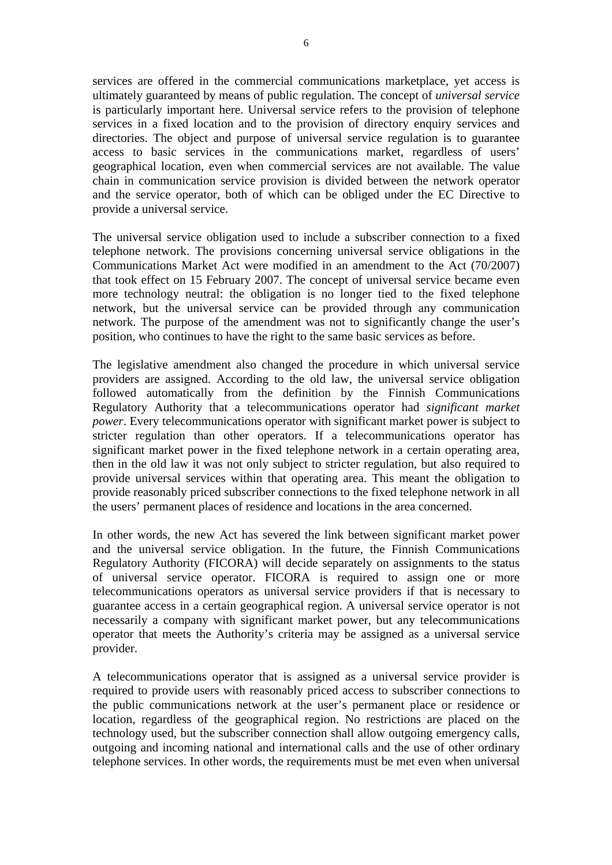services are offered in the commercial communications marketplace, yet access is ultimately guaranteed by means of public regulation. The concept of *universal service*  is particularly important here. Universal service refers to the provision of telephone services in a fixed location and to the provision of directory enquiry services and directories. The object and purpose of universal service regulation is to guarantee access to basic services in the communications market, regardless of users' geographical location, even when commercial services are not available. The value chain in communication service provision is divided between the network operator and the service operator, both of which can be obliged under the EC Directive to provide a universal service.

The universal service obligation used to include a subscriber connection to a fixed telephone network. The provisions concerning universal service obligations in the Communications Market Act were modified in an amendment to the Act (70/2007) that took effect on 15 February 2007. The concept of universal service became even more technology neutral: the obligation is no longer tied to the fixed telephone network, but the universal service can be provided through any communication network. The purpose of the amendment was not to significantly change the user's position, who continues to have the right to the same basic services as before.

The legislative amendment also changed the procedure in which universal service providers are assigned. According to the old law, the universal service obligation followed automatically from the definition by the Finnish Communications Regulatory Authority that a telecommunications operator had *significant market power*. Every telecommunications operator with significant market power is subject to stricter regulation than other operators. If a telecommunications operator has significant market power in the fixed telephone network in a certain operating area, then in the old law it was not only subject to stricter regulation, but also required to provide universal services within that operating area. This meant the obligation to provide reasonably priced subscriber connections to the fixed telephone network in all the users' permanent places of residence and locations in the area concerned.

In other words, the new Act has severed the link between significant market power and the universal service obligation. In the future, the Finnish Communications Regulatory Authority (FICORA) will decide separately on assignments to the status of universal service operator. FICORA is required to assign one or more telecommunications operators as universal service providers if that is necessary to guarantee access in a certain geographical region. A universal service operator is not necessarily a company with significant market power, but any telecommunications operator that meets the Authority's criteria may be assigned as a universal service provider.

A telecommunications operator that is assigned as a universal service provider is required to provide users with reasonably priced access to subscriber connections to the public communications network at the user's permanent place or residence or location, regardless of the geographical region. No restrictions are placed on the technology used, but the subscriber connection shall allow outgoing emergency calls, outgoing and incoming national and international calls and the use of other ordinary telephone services. In other words, the requirements must be met even when universal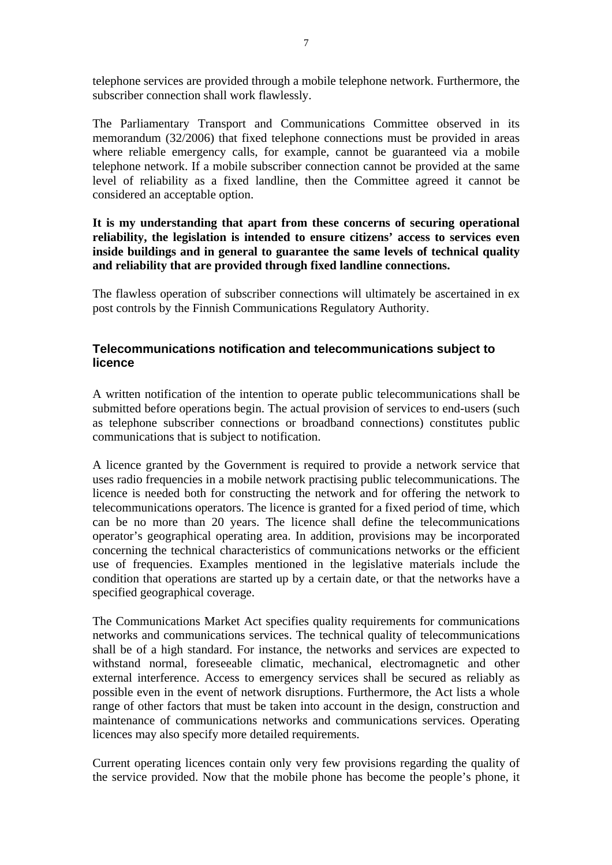telephone services are provided through a mobile telephone network. Furthermore, the subscriber connection shall work flawlessly.

The Parliamentary Transport and Communications Committee observed in its memorandum (32/2006) that fixed telephone connections must be provided in areas where reliable emergency calls, for example, cannot be guaranteed via a mobile telephone network. If a mobile subscriber connection cannot be provided at the same level of reliability as a fixed landline, then the Committee agreed it cannot be considered an acceptable option.

#### **It is my understanding that apart from these concerns of securing operational reliability, the legislation is intended to ensure citizens' access to services even inside buildings and in general to guarantee the same levels of technical quality and reliability that are provided through fixed landline connections.**

The flawless operation of subscriber connections will ultimately be ascertained in ex post controls by the Finnish Communications Regulatory Authority.

### **Telecommunications notification and telecommunications subject to licence**

A written notification of the intention to operate public telecommunications shall be submitted before operations begin. The actual provision of services to end-users (such as telephone subscriber connections or broadband connections) constitutes public communications that is subject to notification.

A licence granted by the Government is required to provide a network service that uses radio frequencies in a mobile network practising public telecommunications. The licence is needed both for constructing the network and for offering the network to telecommunications operators. The licence is granted for a fixed period of time, which can be no more than 20 years. The licence shall define the telecommunications operator's geographical operating area. In addition, provisions may be incorporated concerning the technical characteristics of communications networks or the efficient use of frequencies. Examples mentioned in the legislative materials include the condition that operations are started up by a certain date, or that the networks have a specified geographical coverage.

The Communications Market Act specifies quality requirements for communications networks and communications services. The technical quality of telecommunications shall be of a high standard. For instance, the networks and services are expected to withstand normal, foreseeable climatic, mechanical, electromagnetic and other external interference. Access to emergency services shall be secured as reliably as possible even in the event of network disruptions. Furthermore, the Act lists a whole range of other factors that must be taken into account in the design, construction and maintenance of communications networks and communications services. Operating licences may also specify more detailed requirements.

Current operating licences contain only very few provisions regarding the quality of the service provided. Now that the mobile phone has become the people's phone, it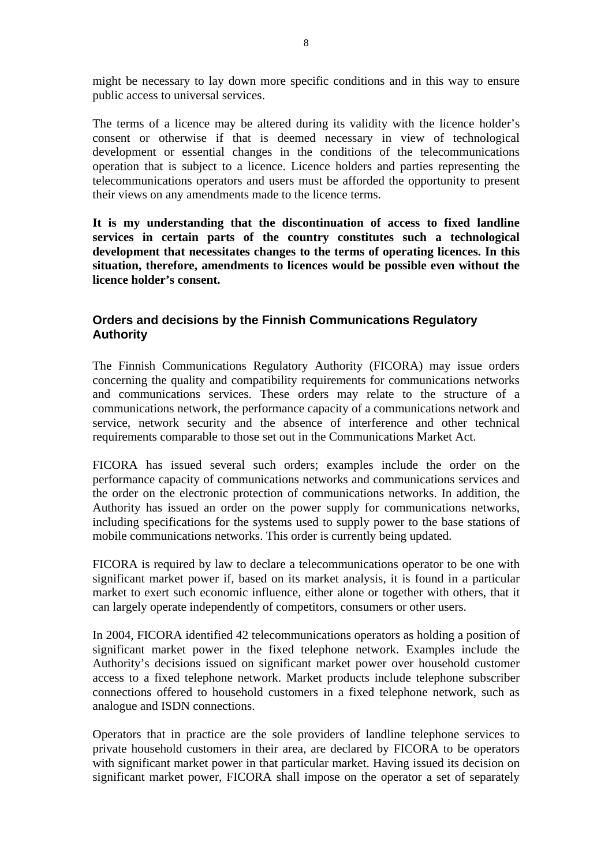might be necessary to lay down more specific conditions and in this way to ensure public access to universal services.

The terms of a licence may be altered during its validity with the licence holder's consent or otherwise if that is deemed necessary in view of technological development or essential changes in the conditions of the telecommunications operation that is subject to a licence. Licence holders and parties representing the telecommunications operators and users must be afforded the opportunity to present their views on any amendments made to the licence terms.

**It is my understanding that the discontinuation of access to fixed landline services in certain parts of the country constitutes such a technological development that necessitates changes to the terms of operating licences. In this situation, therefore, amendments to licences would be possible even without the licence holder's consent.** 

# **Orders and decisions by the Finnish Communications Regulatory Authority**

The Finnish Communications Regulatory Authority (FICORA) may issue orders concerning the quality and compatibility requirements for communications networks and communications services. These orders may relate to the structure of a communications network, the performance capacity of a communications network and service, network security and the absence of interference and other technical requirements comparable to those set out in the Communications Market Act.

FICORA has issued several such orders; examples include the order on the performance capacity of communications networks and communications services and the order on the electronic protection of communications networks. In addition, the Authority has issued an order on the power supply for communications networks, including specifications for the systems used to supply power to the base stations of mobile communications networks. This order is currently being updated.

FICORA is required by law to declare a telecommunications operator to be one with significant market power if, based on its market analysis, it is found in a particular market to exert such economic influence, either alone or together with others, that it can largely operate independently of competitors, consumers or other users.

In 2004, FICORA identified 42 telecommunications operators as holding a position of significant market power in the fixed telephone network. Examples include the Authority's decisions issued on significant market power over household customer access to a fixed telephone network. Market products include telephone subscriber connections offered to household customers in a fixed telephone network, such as analogue and ISDN connections.

Operators that in practice are the sole providers of landline telephone services to private household customers in their area, are declared by FICORA to be operators with significant market power in that particular market. Having issued its decision on significant market power, FICORA shall impose on the operator a set of separately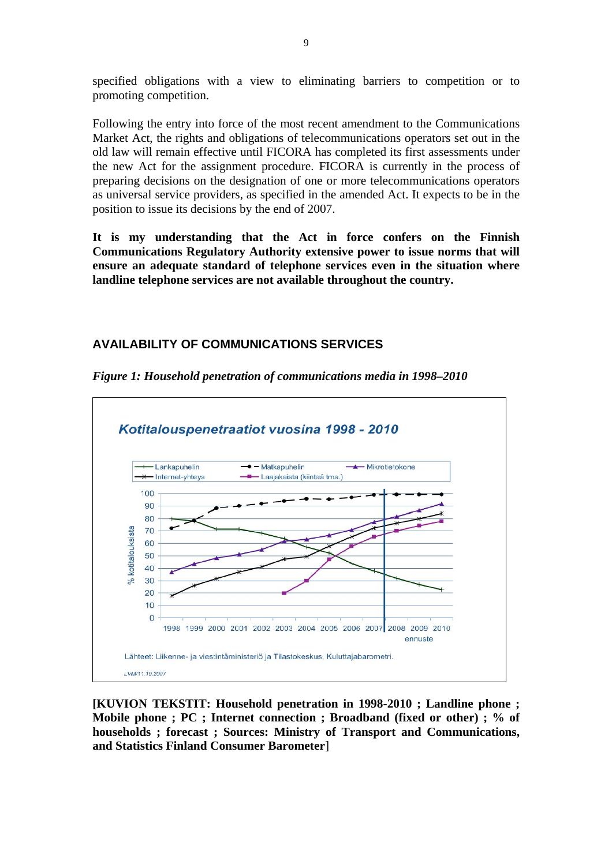specified obligations with a view to eliminating barriers to competition or to promoting competition.

Following the entry into force of the most recent amendment to the Communications Market Act, the rights and obligations of telecommunications operators set out in the old law will remain effective until FICORA has completed its first assessments under the new Act for the assignment procedure. FICORA is currently in the process of preparing decisions on the designation of one or more telecommunications operators as universal service providers, as specified in the amended Act. It expects to be in the position to issue its decisions by the end of 2007.

**It is my understanding that the Act in force confers on the Finnish Communications Regulatory Authority extensive power to issue norms that will ensure an adequate standard of telephone services even in the situation where landline telephone services are not available throughout the country.** 

# **AVAILABILITY OF COMMUNICATIONS SERVICES**



*Figure 1: Household penetration of communications media in 1998–2010* 

**[KUVION TEKSTIT: Household penetration in 1998-2010 ; Landline phone ; Mobile phone ; PC ; Internet connection ; Broadband (fixed or other) ; % of households ; forecast ; Sources: Ministry of Transport and Communications, and Statistics Finland Consumer Barometer**]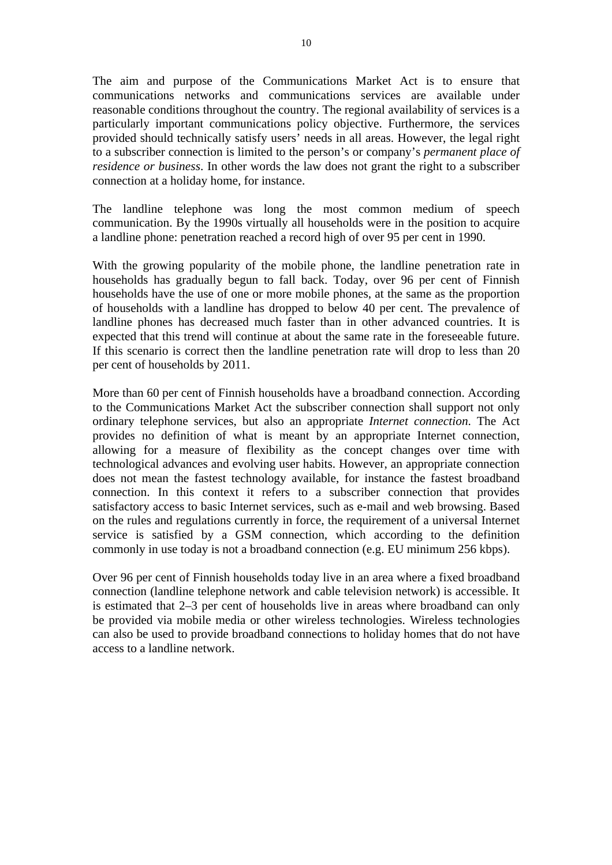The aim and purpose of the Communications Market Act is to ensure that communications networks and communications services are available under reasonable conditions throughout the country. The regional availability of services is a particularly important communications policy objective. Furthermore, the services provided should technically satisfy users' needs in all areas. However, the legal right to a subscriber connection is limited to the person's or company's *permanent place of residence or business*. In other words the law does not grant the right to a subscriber connection at a holiday home, for instance.

The landline telephone was long the most common medium of speech communication. By the 1990s virtually all households were in the position to acquire a landline phone: penetration reached a record high of over 95 per cent in 1990.

With the growing popularity of the mobile phone, the landline penetration rate in households has gradually begun to fall back. Today, over 96 per cent of Finnish households have the use of one or more mobile phones, at the same as the proportion of households with a landline has dropped to below 40 per cent. The prevalence of landline phones has decreased much faster than in other advanced countries. It is expected that this trend will continue at about the same rate in the foreseeable future. If this scenario is correct then the landline penetration rate will drop to less than 20 per cent of households by 2011.

More than 60 per cent of Finnish households have a broadband connection. According to the Communications Market Act the subscriber connection shall support not only ordinary telephone services, but also an appropriate *Internet connection*. The Act provides no definition of what is meant by an appropriate Internet connection, allowing for a measure of flexibility as the concept changes over time with technological advances and evolving user habits. However, an appropriate connection does not mean the fastest technology available, for instance the fastest broadband connection. In this context it refers to a subscriber connection that provides satisfactory access to basic Internet services, such as e-mail and web browsing. Based on the rules and regulations currently in force, the requirement of a universal Internet service is satisfied by a GSM connection, which according to the definition commonly in use today is not a broadband connection (e.g. EU minimum 256 kbps).

Over 96 per cent of Finnish households today live in an area where a fixed broadband connection (landline telephone network and cable television network) is accessible. It is estimated that 2–3 per cent of households live in areas where broadband can only be provided via mobile media or other wireless technologies. Wireless technologies can also be used to provide broadband connections to holiday homes that do not have access to a landline network.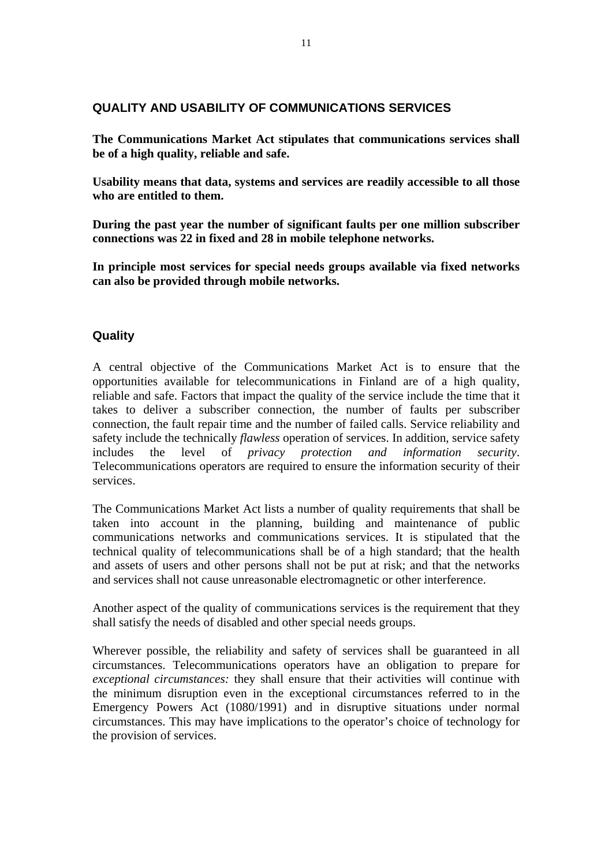#### **QUALITY AND USABILITY OF COMMUNICATIONS SERVICES**

**The Communications Market Act stipulates that communications services shall be of a high quality, reliable and safe.** 

**Usability means that data, systems and services are readily accessible to all those who are entitled to them.** 

**During the past year the number of significant faults per one million subscriber connections was 22 in fixed and 28 in mobile telephone networks.** 

**In principle most services for special needs groups available via fixed networks can also be provided through mobile networks.** 

# **Quality**

A central objective of the Communications Market Act is to ensure that the opportunities available for telecommunications in Finland are of a high quality, reliable and safe. Factors that impact the quality of the service include the time that it takes to deliver a subscriber connection, the number of faults per subscriber connection, the fault repair time and the number of failed calls. Service reliability and safety include the technically *flawless* operation of services. In addition, service safety includes the level of *privacy protection and information security*. Telecommunications operators are required to ensure the information security of their services.

The Communications Market Act lists a number of quality requirements that shall be taken into account in the planning, building and maintenance of public communications networks and communications services. It is stipulated that the technical quality of telecommunications shall be of a high standard; that the health and assets of users and other persons shall not be put at risk; and that the networks and services shall not cause unreasonable electromagnetic or other interference.

Another aspect of the quality of communications services is the requirement that they shall satisfy the needs of disabled and other special needs groups.

Wherever possible, the reliability and safety of services shall be guaranteed in all circumstances. Telecommunications operators have an obligation to prepare for *exceptional circumstances:* they shall ensure that their activities will continue with the minimum disruption even in the exceptional circumstances referred to in the Emergency Powers Act (1080/1991) and in disruptive situations under normal circumstances. This may have implications to the operator's choice of technology for the provision of services.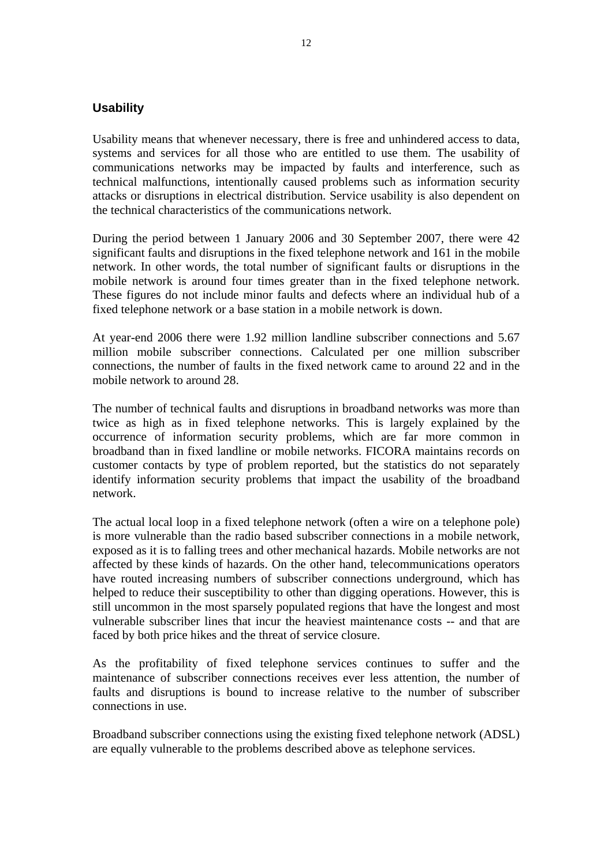#### **Usability**

Usability means that whenever necessary, there is free and unhindered access to data, systems and services for all those who are entitled to use them. The usability of communications networks may be impacted by faults and interference, such as technical malfunctions, intentionally caused problems such as information security attacks or disruptions in electrical distribution. Service usability is also dependent on the technical characteristics of the communications network.

During the period between 1 January 2006 and 30 September 2007, there were 42 significant faults and disruptions in the fixed telephone network and 161 in the mobile network. In other words, the total number of significant faults or disruptions in the mobile network is around four times greater than in the fixed telephone network. These figures do not include minor faults and defects where an individual hub of a fixed telephone network or a base station in a mobile network is down.

At year-end 2006 there were 1.92 million landline subscriber connections and 5.67 million mobile subscriber connections. Calculated per one million subscriber connections, the number of faults in the fixed network came to around 22 and in the mobile network to around 28.

The number of technical faults and disruptions in broadband networks was more than twice as high as in fixed telephone networks. This is largely explained by the occurrence of information security problems, which are far more common in broadband than in fixed landline or mobile networks. FICORA maintains records on customer contacts by type of problem reported, but the statistics do not separately identify information security problems that impact the usability of the broadband network.

The actual local loop in a fixed telephone network (often a wire on a telephone pole) is more vulnerable than the radio based subscriber connections in a mobile network, exposed as it is to falling trees and other mechanical hazards. Mobile networks are not affected by these kinds of hazards. On the other hand, telecommunications operators have routed increasing numbers of subscriber connections underground, which has helped to reduce their susceptibility to other than digging operations. However, this is still uncommon in the most sparsely populated regions that have the longest and most vulnerable subscriber lines that incur the heaviest maintenance costs -- and that are faced by both price hikes and the threat of service closure.

As the profitability of fixed telephone services continues to suffer and the maintenance of subscriber connections receives ever less attention, the number of faults and disruptions is bound to increase relative to the number of subscriber connections in use.

Broadband subscriber connections using the existing fixed telephone network (ADSL) are equally vulnerable to the problems described above as telephone services.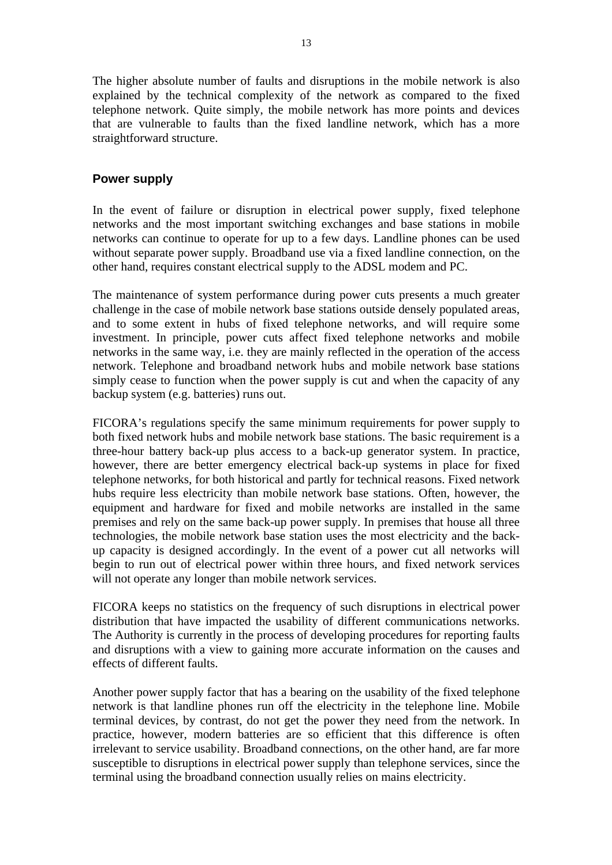The higher absolute number of faults and disruptions in the mobile network is also explained by the technical complexity of the network as compared to the fixed telephone network. Quite simply, the mobile network has more points and devices that are vulnerable to faults than the fixed landline network, which has a more straightforward structure.

#### **Power supply**

In the event of failure or disruption in electrical power supply, fixed telephone networks and the most important switching exchanges and base stations in mobile networks can continue to operate for up to a few days. Landline phones can be used without separate power supply. Broadband use via a fixed landline connection, on the other hand, requires constant electrical supply to the ADSL modem and PC.

The maintenance of system performance during power cuts presents a much greater challenge in the case of mobile network base stations outside densely populated areas, and to some extent in hubs of fixed telephone networks, and will require some investment. In principle, power cuts affect fixed telephone networks and mobile networks in the same way, i.e. they are mainly reflected in the operation of the access network. Telephone and broadband network hubs and mobile network base stations simply cease to function when the power supply is cut and when the capacity of any backup system (e.g. batteries) runs out.

FICORA's regulations specify the same minimum requirements for power supply to both fixed network hubs and mobile network base stations. The basic requirement is a three-hour battery back-up plus access to a back-up generator system. In practice, however, there are better emergency electrical back-up systems in place for fixed telephone networks, for both historical and partly for technical reasons. Fixed network hubs require less electricity than mobile network base stations. Often, however, the equipment and hardware for fixed and mobile networks are installed in the same premises and rely on the same back-up power supply. In premises that house all three technologies, the mobile network base station uses the most electricity and the backup capacity is designed accordingly. In the event of a power cut all networks will begin to run out of electrical power within three hours, and fixed network services will not operate any longer than mobile network services.

FICORA keeps no statistics on the frequency of such disruptions in electrical power distribution that have impacted the usability of different communications networks. The Authority is currently in the process of developing procedures for reporting faults and disruptions with a view to gaining more accurate information on the causes and effects of different faults.

Another power supply factor that has a bearing on the usability of the fixed telephone network is that landline phones run off the electricity in the telephone line. Mobile terminal devices, by contrast, do not get the power they need from the network. In practice, however, modern batteries are so efficient that this difference is often irrelevant to service usability. Broadband connections, on the other hand, are far more susceptible to disruptions in electrical power supply than telephone services, since the terminal using the broadband connection usually relies on mains electricity.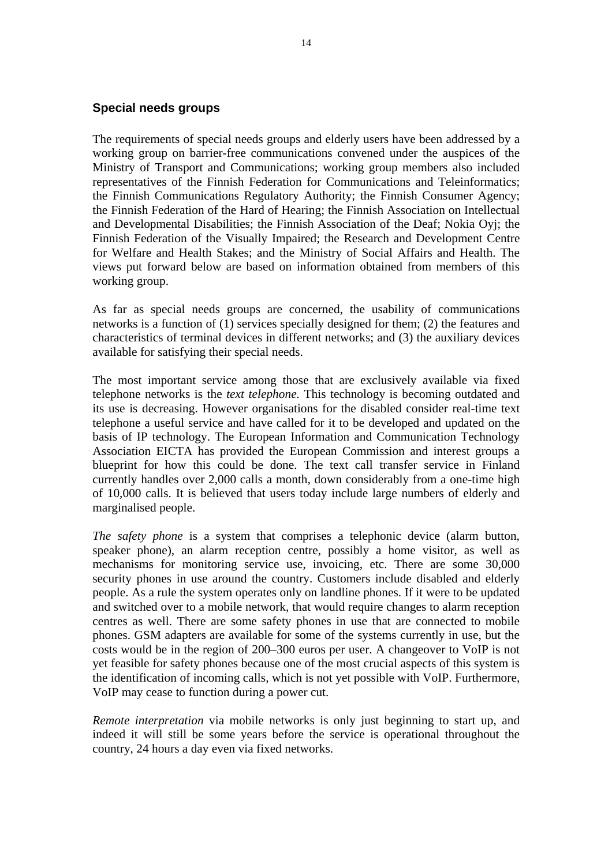#### **Special needs groups**

The requirements of special needs groups and elderly users have been addressed by a working group on barrier-free communications convened under the auspices of the Ministry of Transport and Communications; working group members also included representatives of the Finnish Federation for Communications and Teleinformatics; the Finnish Communications Regulatory Authority; the Finnish Consumer Agency; the Finnish Federation of the Hard of Hearing; the Finnish Association on Intellectual and Developmental Disabilities; the Finnish Association of the Deaf; Nokia Oyj; the Finnish Federation of the Visually Impaired; the Research and Development Centre for Welfare and Health Stakes; and the Ministry of Social Affairs and Health. The views put forward below are based on information obtained from members of this working group.

As far as special needs groups are concerned, the usability of communications networks is a function of (1) services specially designed for them; (2) the features and characteristics of terminal devices in different networks; and (3) the auxiliary devices available for satisfying their special needs.

The most important service among those that are exclusively available via fixed telephone networks is the *text telephone.* This technology is becoming outdated and its use is decreasing. However organisations for the disabled consider real-time text telephone a useful service and have called for it to be developed and updated on the basis of IP technology. The European Information and Communication Technology Association EICTA has provided the European Commission and interest groups a blueprint for how this could be done. The text call transfer service in Finland currently handles over 2,000 calls a month, down considerably from a one-time high of 10,000 calls. It is believed that users today include large numbers of elderly and marginalised people.

*The safety phone* is a system that comprises a telephonic device (alarm button, speaker phone), an alarm reception centre, possibly a home visitor, as well as mechanisms for monitoring service use, invoicing, etc. There are some 30,000 security phones in use around the country. Customers include disabled and elderly people. As a rule the system operates only on landline phones. If it were to be updated and switched over to a mobile network, that would require changes to alarm reception centres as well. There are some safety phones in use that are connected to mobile phones. GSM adapters are available for some of the systems currently in use, but the costs would be in the region of 200–300 euros per user. A changeover to VoIP is not yet feasible for safety phones because one of the most crucial aspects of this system is the identification of incoming calls, which is not yet possible with VoIP. Furthermore, VoIP may cease to function during a power cut.

*Remote interpretation* via mobile networks is only just beginning to start up, and indeed it will still be some years before the service is operational throughout the country, 24 hours a day even via fixed networks.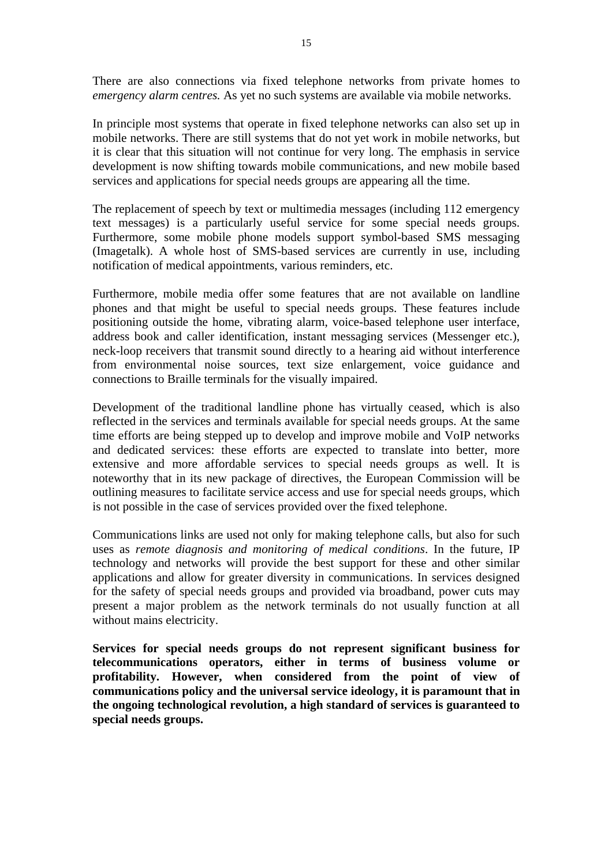There are also connections via fixed telephone networks from private homes to *emergency alarm centres.* As yet no such systems are available via mobile networks.

In principle most systems that operate in fixed telephone networks can also set up in mobile networks. There are still systems that do not yet work in mobile networks, but it is clear that this situation will not continue for very long. The emphasis in service development is now shifting towards mobile communications, and new mobile based services and applications for special needs groups are appearing all the time.

The replacement of speech by text or multimedia messages (including 112 emergency text messages) is a particularly useful service for some special needs groups. Furthermore, some mobile phone models support symbol-based SMS messaging (Imagetalk). A whole host of SMS-based services are currently in use, including notification of medical appointments, various reminders, etc.

Furthermore, mobile media offer some features that are not available on landline phones and that might be useful to special needs groups. These features include positioning outside the home, vibrating alarm, voice-based telephone user interface, address book and caller identification, instant messaging services (Messenger etc.), neck-loop receivers that transmit sound directly to a hearing aid without interference from environmental noise sources, text size enlargement, voice guidance and connections to Braille terminals for the visually impaired.

Development of the traditional landline phone has virtually ceased, which is also reflected in the services and terminals available for special needs groups. At the same time efforts are being stepped up to develop and improve mobile and VoIP networks and dedicated services: these efforts are expected to translate into better, more extensive and more affordable services to special needs groups as well. It is noteworthy that in its new package of directives, the European Commission will be outlining measures to facilitate service access and use for special needs groups, which is not possible in the case of services provided over the fixed telephone.

Communications links are used not only for making telephone calls, but also for such uses as *remote diagnosis and monitoring of medical conditions*. In the future, IP technology and networks will provide the best support for these and other similar applications and allow for greater diversity in communications. In services designed for the safety of special needs groups and provided via broadband, power cuts may present a major problem as the network terminals do not usually function at all without mains electricity.

**Services for special needs groups do not represent significant business for telecommunications operators, either in terms of business volume or profitability. However, when considered from the point of view of communications policy and the universal service ideology, it is paramount that in the ongoing technological revolution, a high standard of services is guaranteed to special needs groups.**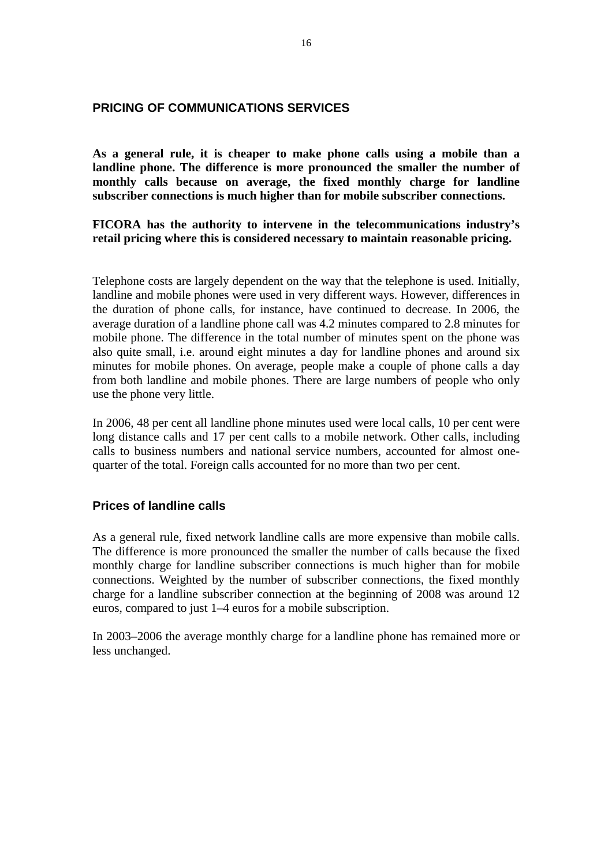#### **PRICING OF COMMUNICATIONS SERVICES**

**As a general rule, it is cheaper to make phone calls using a mobile than a landline phone. The difference is more pronounced the smaller the number of monthly calls because on average, the fixed monthly charge for landline subscriber connections is much higher than for mobile subscriber connections.** 

**FICORA has the authority to intervene in the telecommunications industry's retail pricing where this is considered necessary to maintain reasonable pricing.** 

Telephone costs are largely dependent on the way that the telephone is used. Initially, landline and mobile phones were used in very different ways. However, differences in the duration of phone calls, for instance, have continued to decrease. In 2006, the average duration of a landline phone call was 4.2 minutes compared to 2.8 minutes for mobile phone. The difference in the total number of minutes spent on the phone was also quite small, i.e. around eight minutes a day for landline phones and around six minutes for mobile phones. On average, people make a couple of phone calls a day from both landline and mobile phones. There are large numbers of people who only use the phone very little.

In 2006, 48 per cent all landline phone minutes used were local calls, 10 per cent were long distance calls and 17 per cent calls to a mobile network. Other calls, including calls to business numbers and national service numbers, accounted for almost onequarter of the total. Foreign calls accounted for no more than two per cent.

#### **Prices of landline calls**

As a general rule, fixed network landline calls are more expensive than mobile calls. The difference is more pronounced the smaller the number of calls because the fixed monthly charge for landline subscriber connections is much higher than for mobile connections. Weighted by the number of subscriber connections, the fixed monthly charge for a landline subscriber connection at the beginning of 2008 was around 12 euros, compared to just 1–4 euros for a mobile subscription.

In 2003–2006 the average monthly charge for a landline phone has remained more or less unchanged.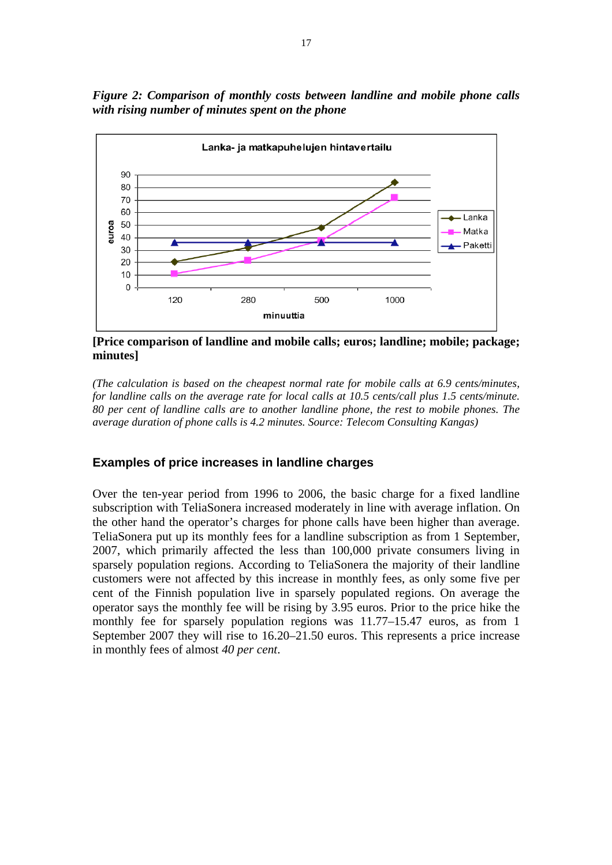*Figure 2: Comparison of monthly costs between landline and mobile phone calls with rising number of minutes spent on the phone* 



**[Price comparison of landline and mobile calls; euros; landline; mobile; package; minutes]**

*(The calculation is based on the cheapest normal rate for mobile calls at 6.9 cents/minutes, for landline calls on the average rate for local calls at 10.5 cents/call plus 1.5 cents/minute. 80 per cent of landline calls are to another landline phone, the rest to mobile phones. The average duration of phone calls is 4.2 minutes. Source: Telecom Consulting Kangas)* 

#### **Examples of price increases in landline charges**

Over the ten-year period from 1996 to 2006, the basic charge for a fixed landline subscription with TeliaSonera increased moderately in line with average inflation. On the other hand the operator's charges for phone calls have been higher than average. TeliaSonera put up its monthly fees for a landline subscription as from 1 September, 2007, which primarily affected the less than 100,000 private consumers living in sparsely population regions. According to TeliaSonera the majority of their landline customers were not affected by this increase in monthly fees, as only some five per cent of the Finnish population live in sparsely populated regions. On average the operator says the monthly fee will be rising by 3.95 euros. Prior to the price hike the monthly fee for sparsely population regions was 11.77–15.47 euros, as from 1 September 2007 they will rise to 16.20–21.50 euros. This represents a price increase in monthly fees of almost *40 per cent*.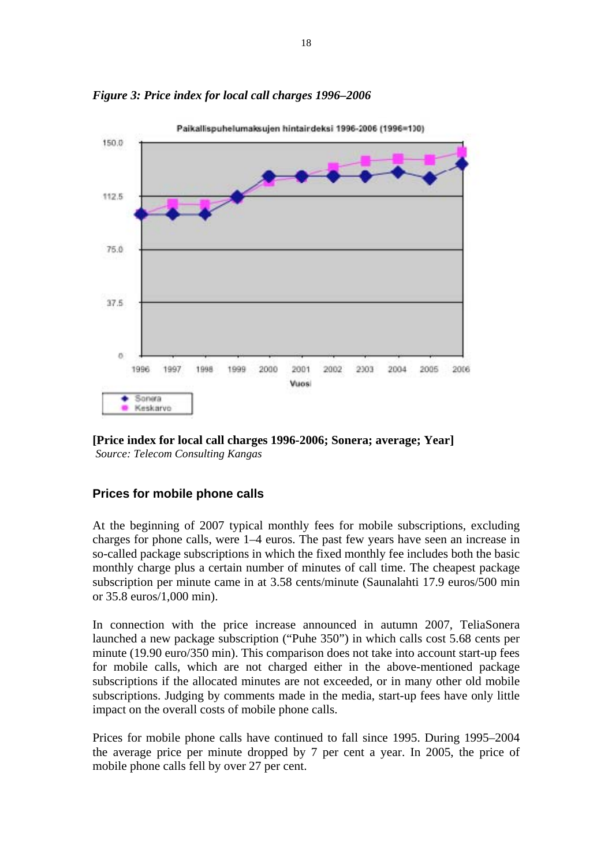

*Figure 3: Price index for local call charges 1996–2006* 



# **Prices for mobile phone calls**

At the beginning of 2007 typical monthly fees for mobile subscriptions, excluding charges for phone calls, were 1–4 euros. The past few years have seen an increase in so-called package subscriptions in which the fixed monthly fee includes both the basic monthly charge plus a certain number of minutes of call time. The cheapest package subscription per minute came in at 3.58 cents/minute (Saunalahti 17.9 euros/500 min or 35.8 euros/1,000 min).

In connection with the price increase announced in autumn 2007, TeliaSonera launched a new package subscription ("Puhe 350") in which calls cost 5.68 cents per minute (19.90 euro/350 min). This comparison does not take into account start-up fees for mobile calls, which are not charged either in the above-mentioned package subscriptions if the allocated minutes are not exceeded, or in many other old mobile subscriptions. Judging by comments made in the media, start-up fees have only little impact on the overall costs of mobile phone calls.

Prices for mobile phone calls have continued to fall since 1995. During 1995–2004 the average price per minute dropped by 7 per cent a year. In 2005, the price of mobile phone calls fell by over 27 per cent.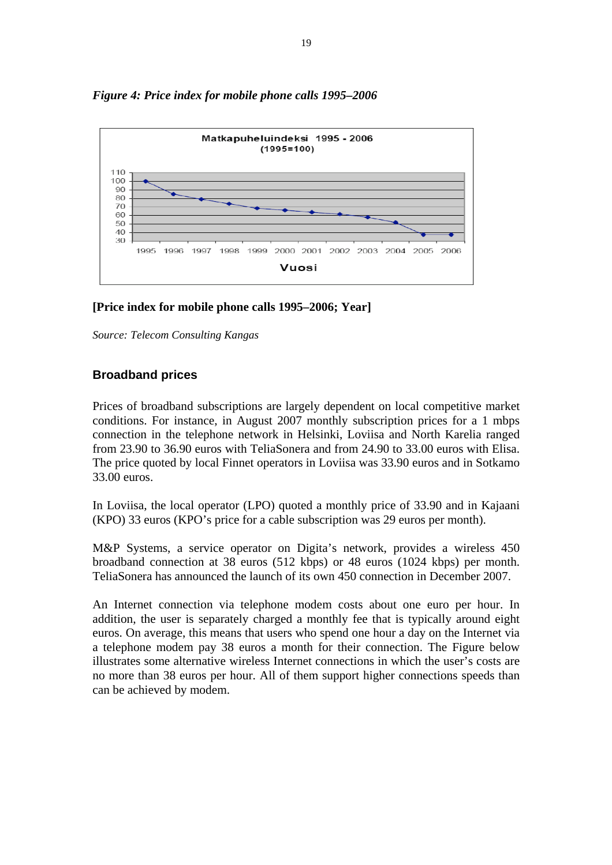

# *Figure 4: Price index for mobile phone calls 1995–2006*

#### **[Price index for mobile phone calls 1995–2006; Year]**

*Source: Telecom Consulting Kangas* 

#### **Broadband prices**

Prices of broadband subscriptions are largely dependent on local competitive market conditions. For instance, in August 2007 monthly subscription prices for a 1 mbps connection in the telephone network in Helsinki, Loviisa and North Karelia ranged from 23.90 to 36.90 euros with TeliaSonera and from 24.90 to 33.00 euros with Elisa. The price quoted by local Finnet operators in Loviisa was 33.90 euros and in Sotkamo 33.00 euros.

In Loviisa, the local operator (LPO) quoted a monthly price of 33.90 and in Kajaani (KPO) 33 euros (KPO's price for a cable subscription was 29 euros per month).

M&P Systems, a service operator on Digita's network, provides a wireless 450 broadband connection at 38 euros (512 kbps) or 48 euros (1024 kbps) per month. TeliaSonera has announced the launch of its own 450 connection in December 2007.

An Internet connection via telephone modem costs about one euro per hour. In addition, the user is separately charged a monthly fee that is typically around eight euros. On average, this means that users who spend one hour a day on the Internet via a telephone modem pay 38 euros a month for their connection. The Figure below illustrates some alternative wireless Internet connections in which the user's costs are no more than 38 euros per hour. All of them support higher connections speeds than can be achieved by modem.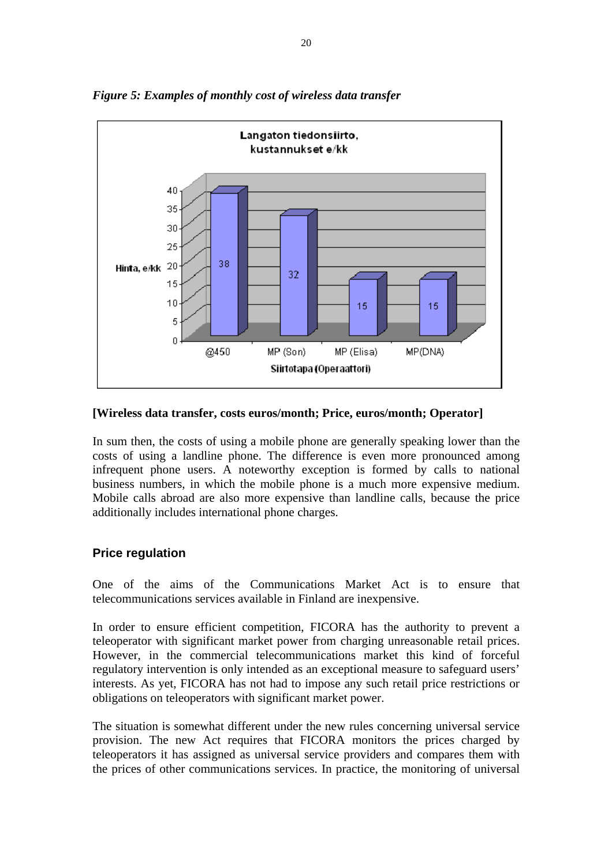

*Figure 5: Examples of monthly cost of wireless data transfer* 

#### **[Wireless data transfer, costs euros/month; Price, euros/month; Operator]**

In sum then, the costs of using a mobile phone are generally speaking lower than the costs of using a landline phone. The difference is even more pronounced among infrequent phone users. A noteworthy exception is formed by calls to national business numbers, in which the mobile phone is a much more expensive medium. Mobile calls abroad are also more expensive than landline calls, because the price additionally includes international phone charges.

# **Price regulation**

One of the aims of the Communications Market Act is to ensure that telecommunications services available in Finland are inexpensive.

In order to ensure efficient competition, FICORA has the authority to prevent a teleoperator with significant market power from charging unreasonable retail prices. However, in the commercial telecommunications market this kind of forceful regulatory intervention is only intended as an exceptional measure to safeguard users' interests. As yet, FICORA has not had to impose any such retail price restrictions or obligations on teleoperators with significant market power.

The situation is somewhat different under the new rules concerning universal service provision. The new Act requires that FICORA monitors the prices charged by teleoperators it has assigned as universal service providers and compares them with the prices of other communications services. In practice, the monitoring of universal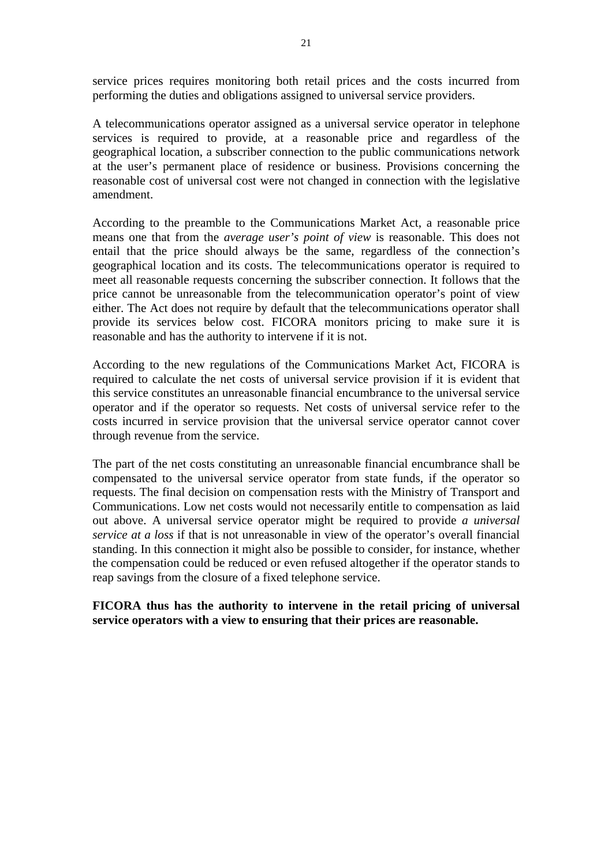service prices requires monitoring both retail prices and the costs incurred from performing the duties and obligations assigned to universal service providers.

A telecommunications operator assigned as a universal service operator in telephone services is required to provide, at a reasonable price and regardless of the geographical location, a subscriber connection to the public communications network at the user's permanent place of residence or business. Provisions concerning the reasonable cost of universal cost were not changed in connection with the legislative amendment.

According to the preamble to the Communications Market Act, a reasonable price means one that from the *average user's point of view* is reasonable. This does not entail that the price should always be the same, regardless of the connection's geographical location and its costs. The telecommunications operator is required to meet all reasonable requests concerning the subscriber connection. It follows that the price cannot be unreasonable from the telecommunication operator's point of view either. The Act does not require by default that the telecommunications operator shall provide its services below cost. FICORA monitors pricing to make sure it is reasonable and has the authority to intervene if it is not.

According to the new regulations of the Communications Market Act, FICORA is required to calculate the net costs of universal service provision if it is evident that this service constitutes an unreasonable financial encumbrance to the universal service operator and if the operator so requests. Net costs of universal service refer to the costs incurred in service provision that the universal service operator cannot cover through revenue from the service.

The part of the net costs constituting an unreasonable financial encumbrance shall be compensated to the universal service operator from state funds, if the operator so requests. The final decision on compensation rests with the Ministry of Transport and Communications. Low net costs would not necessarily entitle to compensation as laid out above. A universal service operator might be required to provide *a universal service at a loss* if that is not unreasonable in view of the operator's overall financial standing. In this connection it might also be possible to consider, for instance, whether the compensation could be reduced or even refused altogether if the operator stands to reap savings from the closure of a fixed telephone service.

**FICORA thus has the authority to intervene in the retail pricing of universal service operators with a view to ensuring that their prices are reasonable.**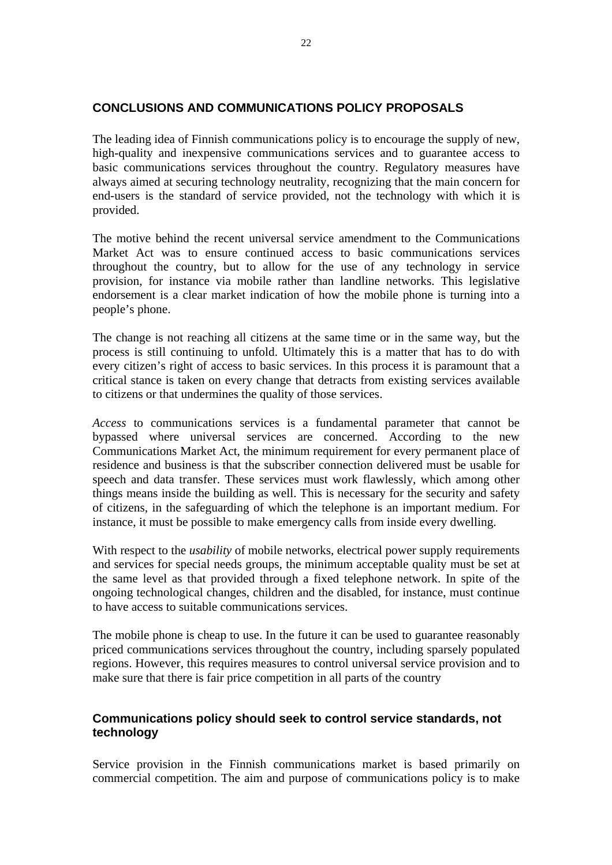#### **CONCLUSIONS AND COMMUNICATIONS POLICY PROPOSALS**

The leading idea of Finnish communications policy is to encourage the supply of new, high-quality and inexpensive communications services and to guarantee access to basic communications services throughout the country. Regulatory measures have always aimed at securing technology neutrality, recognizing that the main concern for end-users is the standard of service provided, not the technology with which it is provided.

The motive behind the recent universal service amendment to the Communications Market Act was to ensure continued access to basic communications services throughout the country, but to allow for the use of any technology in service provision, for instance via mobile rather than landline networks. This legislative endorsement is a clear market indication of how the mobile phone is turning into a people's phone.

The change is not reaching all citizens at the same time or in the same way, but the process is still continuing to unfold. Ultimately this is a matter that has to do with every citizen's right of access to basic services. In this process it is paramount that a critical stance is taken on every change that detracts from existing services available to citizens or that undermines the quality of those services.

*Access* to communications services is a fundamental parameter that cannot be bypassed where universal services are concerned. According to the new Communications Market Act, the minimum requirement for every permanent place of residence and business is that the subscriber connection delivered must be usable for speech and data transfer. These services must work flawlessly, which among other things means inside the building as well. This is necessary for the security and safety of citizens, in the safeguarding of which the telephone is an important medium. For instance, it must be possible to make emergency calls from inside every dwelling.

With respect to the *usability* of mobile networks, electrical power supply requirements and services for special needs groups, the minimum acceptable quality must be set at the same level as that provided through a fixed telephone network. In spite of the ongoing technological changes, children and the disabled, for instance, must continue to have access to suitable communications services.

The mobile phone is cheap to use. In the future it can be used to guarantee reasonably priced communications services throughout the country, including sparsely populated regions. However, this requires measures to control universal service provision and to make sure that there is fair price competition in all parts of the country

# **Communications policy should seek to control service standards, not technology**

Service provision in the Finnish communications market is based primarily on commercial competition. The aim and purpose of communications policy is to make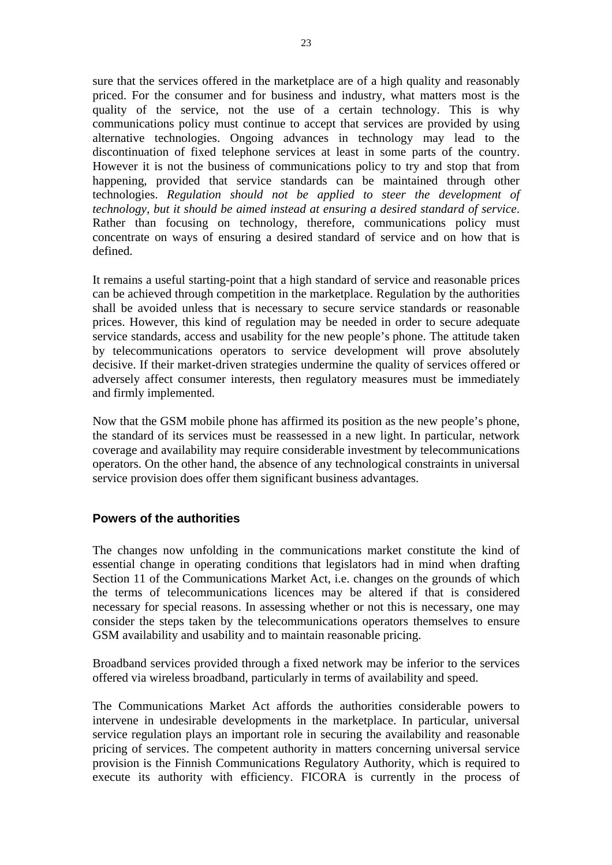sure that the services offered in the marketplace are of a high quality and reasonably priced. For the consumer and for business and industry, what matters most is the quality of the service, not the use of a certain technology. This is why communications policy must continue to accept that services are provided by using alternative technologies. Ongoing advances in technology may lead to the discontinuation of fixed telephone services at least in some parts of the country. However it is not the business of communications policy to try and stop that from happening, provided that service standards can be maintained through other technologies. *Regulation should not be applied to steer the development of technology, but it should be aimed instead at ensuring a desired standard of service*. Rather than focusing on technology, therefore, communications policy must concentrate on ways of ensuring a desired standard of service and on how that is defined.

It remains a useful starting-point that a high standard of service and reasonable prices can be achieved through competition in the marketplace. Regulation by the authorities shall be avoided unless that is necessary to secure service standards or reasonable prices. However, this kind of regulation may be needed in order to secure adequate service standards, access and usability for the new people's phone. The attitude taken by telecommunications operators to service development will prove absolutely decisive. If their market-driven strategies undermine the quality of services offered or adversely affect consumer interests, then regulatory measures must be immediately and firmly implemented.

Now that the GSM mobile phone has affirmed its position as the new people's phone, the standard of its services must be reassessed in a new light. In particular, network coverage and availability may require considerable investment by telecommunications operators. On the other hand, the absence of any technological constraints in universal service provision does offer them significant business advantages.

# **Powers of the authorities**

The changes now unfolding in the communications market constitute the kind of essential change in operating conditions that legislators had in mind when drafting Section 11 of the Communications Market Act, i.e. changes on the grounds of which the terms of telecommunications licences may be altered if that is considered necessary for special reasons. In assessing whether or not this is necessary, one may consider the steps taken by the telecommunications operators themselves to ensure GSM availability and usability and to maintain reasonable pricing.

Broadband services provided through a fixed network may be inferior to the services offered via wireless broadband, particularly in terms of availability and speed.

The Communications Market Act affords the authorities considerable powers to intervene in undesirable developments in the marketplace. In particular, universal service regulation plays an important role in securing the availability and reasonable pricing of services. The competent authority in matters concerning universal service provision is the Finnish Communications Regulatory Authority, which is required to execute its authority with efficiency. FICORA is currently in the process of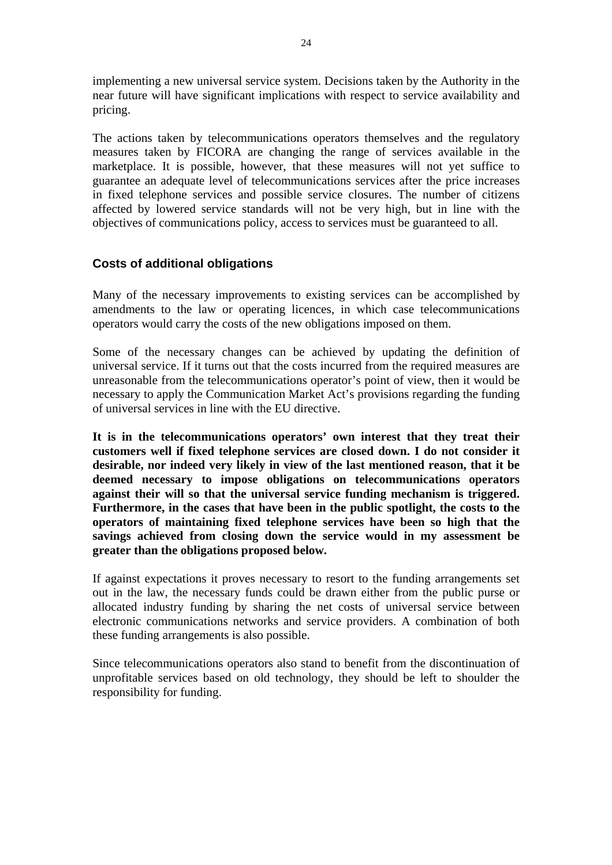implementing a new universal service system. Decisions taken by the Authority in the near future will have significant implications with respect to service availability and pricing.

The actions taken by telecommunications operators themselves and the regulatory measures taken by FICORA are changing the range of services available in the marketplace. It is possible, however, that these measures will not yet suffice to guarantee an adequate level of telecommunications services after the price increases in fixed telephone services and possible service closures. The number of citizens affected by lowered service standards will not be very high, but in line with the objectives of communications policy, access to services must be guaranteed to all.

#### **Costs of additional obligations**

Many of the necessary improvements to existing services can be accomplished by amendments to the law or operating licences, in which case telecommunications operators would carry the costs of the new obligations imposed on them.

Some of the necessary changes can be achieved by updating the definition of universal service. If it turns out that the costs incurred from the required measures are unreasonable from the telecommunications operator's point of view, then it would be necessary to apply the Communication Market Act's provisions regarding the funding of universal services in line with the EU directive.

**It is in the telecommunications operators' own interest that they treat their customers well if fixed telephone services are closed down. I do not consider it desirable, nor indeed very likely in view of the last mentioned reason, that it be deemed necessary to impose obligations on telecommunications operators against their will so that the universal service funding mechanism is triggered. Furthermore, in the cases that have been in the public spotlight, the costs to the operators of maintaining fixed telephone services have been so high that the savings achieved from closing down the service would in my assessment be greater than the obligations proposed below.** 

If against expectations it proves necessary to resort to the funding arrangements set out in the law, the necessary funds could be drawn either from the public purse or allocated industry funding by sharing the net costs of universal service between electronic communications networks and service providers. A combination of both these funding arrangements is also possible.

Since telecommunications operators also stand to benefit from the discontinuation of unprofitable services based on old technology, they should be left to shoulder the responsibility for funding.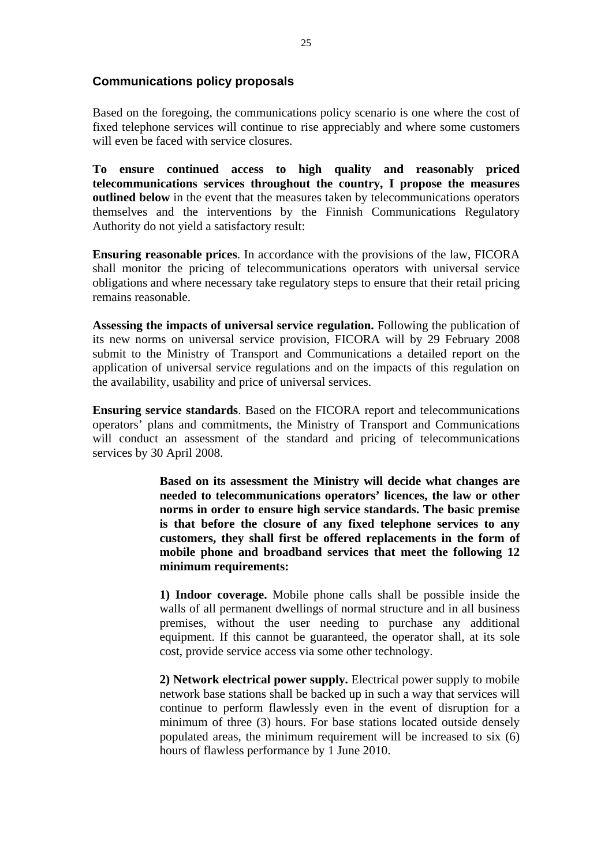#### **Communications policy proposals**

Based on the foregoing, the communications policy scenario is one where the cost of fixed telephone services will continue to rise appreciably and where some customers will even be faced with service closures.

**To ensure continued access to high quality and reasonably priced telecommunications services throughout the country, I propose the measures outlined below** in the event that the measures taken by telecommunications operators themselves and the interventions by the Finnish Communications Regulatory Authority do not yield a satisfactory result:

**Ensuring reasonable prices**. In accordance with the provisions of the law, FICORA shall monitor the pricing of telecommunications operators with universal service obligations and where necessary take regulatory steps to ensure that their retail pricing remains reasonable.

**Assessing the impacts of universal service regulation.** Following the publication of its new norms on universal service provision, FICORA will by 29 February 2008 submit to the Ministry of Transport and Communications a detailed report on the application of universal service regulations and on the impacts of this regulation on the availability, usability and price of universal services.

**Ensuring service standards**. Based on the FICORA report and telecommunications operators' plans and commitments, the Ministry of Transport and Communications will conduct an assessment of the standard and pricing of telecommunications services by 30 April 2008.

> **Based on its assessment the Ministry will decide what changes are needed to telecommunications operators' licences, the law or other norms in order to ensure high service standards. The basic premise is that before the closure of any fixed telephone services to any customers, they shall first be offered replacements in the form of mobile phone and broadband services that meet the following 12 minimum requirements:**

> **1) Indoor coverage.** Mobile phone calls shall be possible inside the walls of all permanent dwellings of normal structure and in all business premises, without the user needing to purchase any additional equipment. If this cannot be guaranteed, the operator shall, at its sole cost, provide service access via some other technology.

> **2) Network electrical power supply.** Electrical power supply to mobile network base stations shall be backed up in such a way that services will continue to perform flawlessly even in the event of disruption for a minimum of three (3) hours. For base stations located outside densely populated areas, the minimum requirement will be increased to six (6) hours of flawless performance by 1 June 2010.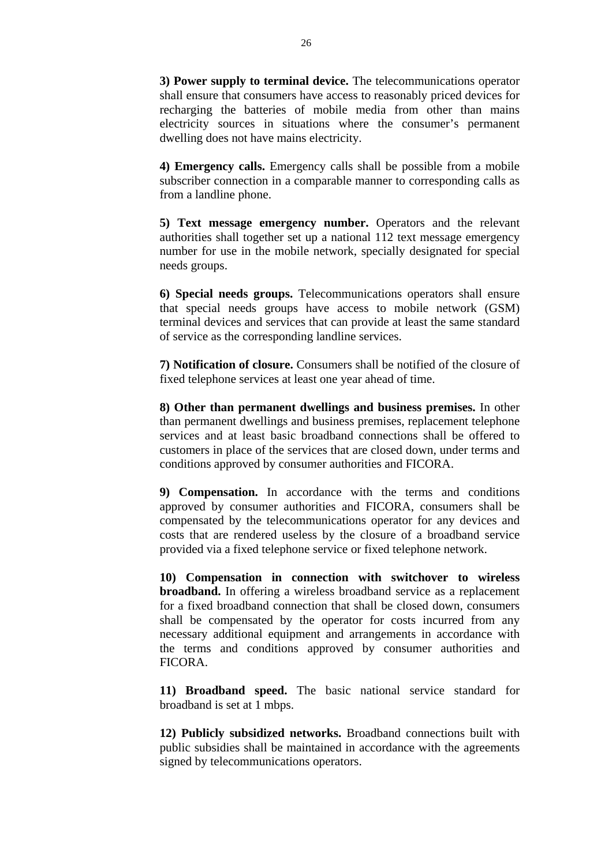**3) Power supply to terminal device.** The telecommunications operator shall ensure that consumers have access to reasonably priced devices for recharging the batteries of mobile media from other than mains electricity sources in situations where the consumer's permanent dwelling does not have mains electricity.

**4) Emergency calls.** Emergency calls shall be possible from a mobile subscriber connection in a comparable manner to corresponding calls as from a landline phone.

**5) Text message emergency number.** Operators and the relevant authorities shall together set up a national 112 text message emergency number for use in the mobile network, specially designated for special needs groups.

**6) Special needs groups.** Telecommunications operators shall ensure that special needs groups have access to mobile network (GSM) terminal devices and services that can provide at least the same standard of service as the corresponding landline services.

**7) Notification of closure.** Consumers shall be notified of the closure of fixed telephone services at least one year ahead of time.

**8) Other than permanent dwellings and business premises.** In other than permanent dwellings and business premises, replacement telephone services and at least basic broadband connections shall be offered to customers in place of the services that are closed down, under terms and conditions approved by consumer authorities and FICORA.

**9) Compensation.** In accordance with the terms and conditions approved by consumer authorities and FICORA, consumers shall be compensated by the telecommunications operator for any devices and costs that are rendered useless by the closure of a broadband service provided via a fixed telephone service or fixed telephone network.

**10) Compensation in connection with switchover to wireless broadband.** In offering a wireless broadband service as a replacement for a fixed broadband connection that shall be closed down, consumers shall be compensated by the operator for costs incurred from any necessary additional equipment and arrangements in accordance with the terms and conditions approved by consumer authorities and FICORA.

**11) Broadband speed.** The basic national service standard for broadband is set at 1 mbps.

**12) Publicly subsidized networks.** Broadband connections built with public subsidies shall be maintained in accordance with the agreements signed by telecommunications operators.